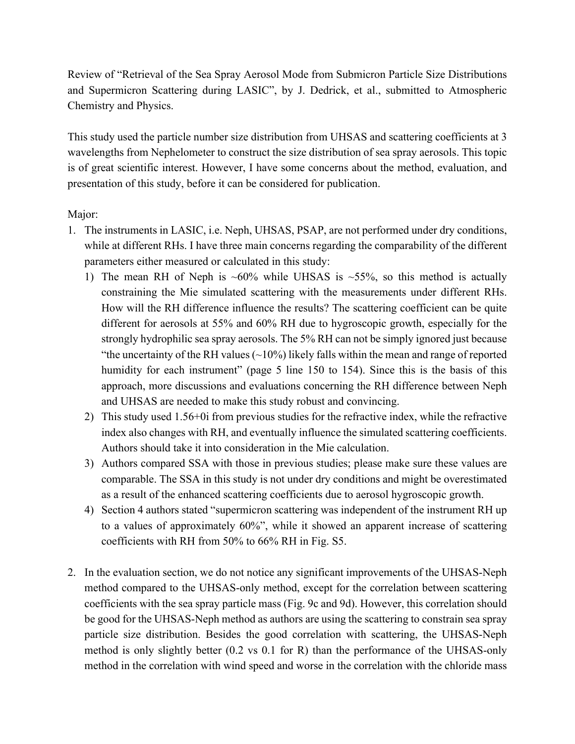Review of "Retrieval of the Sea Spray Aerosol Mode from Submicron Particle Size Distributions and Supermicron Scattering during LASIC", by J. Dedrick, et al., submitted to Atmospheric Chemistry and Physics.

This study used the particle number size distribution from UHSAS and scattering coefficients at 3 wavelengths from Nephelometer to construct the size distribution of sea spray aerosols. This topic is of great scientific interest. However, I have some concerns about the method, evaluation, and presentation of this study, before it can be considered for publication.

## Major:

- 1. The instruments in LASIC, i.e. Neph, UHSAS, PSAP, are not performed under dry conditions, while at different RHs. I have three main concerns regarding the comparability of the different parameters either measured or calculated in this study:
	- 1) The mean RH of Neph is  $~60\%$  while UHSAS is  $~55\%$ , so this method is actually constraining the Mie simulated scattering with the measurements under different RHs. How will the RH difference influence the results? The scattering coefficient can be quite different for aerosols at 55% and 60% RH due to hygroscopic growth, especially for the strongly hydrophilic sea spray aerosols. The 5% RH can not be simply ignored just because "the uncertainty of the RH values  $(\sim 10\%)$  likely falls within the mean and range of reported humidity for each instrument" (page 5 line 150 to 154). Since this is the basis of this approach, more discussions and evaluations concerning the RH difference between Neph and UHSAS are needed to make this study robust and convincing.
	- 2) This study used 1.56+0i from previous studies for the refractive index, while the refractive index also changes with RH, and eventually influence the simulated scattering coefficients. Authors should take it into consideration in the Mie calculation.
	- 3) Authors compared SSA with those in previous studies; please make sure these values are comparable. The SSA in this study is not under dry conditions and might be overestimated as a result of the enhanced scattering coefficients due to aerosol hygroscopic growth.
	- 4) Section 4 authors stated "supermicron scattering was independent of the instrument RH up to a values of approximately 60%", while it showed an apparent increase of scattering coefficients with RH from 50% to 66% RH in Fig. S5.
- 2. In the evaluation section, we do not notice any significant improvements of the UHSAS-Neph method compared to the UHSAS-only method, except for the correlation between scattering coefficients with the sea spray particle mass (Fig. 9c and 9d). However, this correlation should be good for the UHSAS-Neph method as authors are using the scattering to constrain sea spray particle size distribution. Besides the good correlation with scattering, the UHSAS-Neph method is only slightly better (0.2 vs 0.1 for R) than the performance of the UHSAS-only method in the correlation with wind speed and worse in the correlation with the chloride mass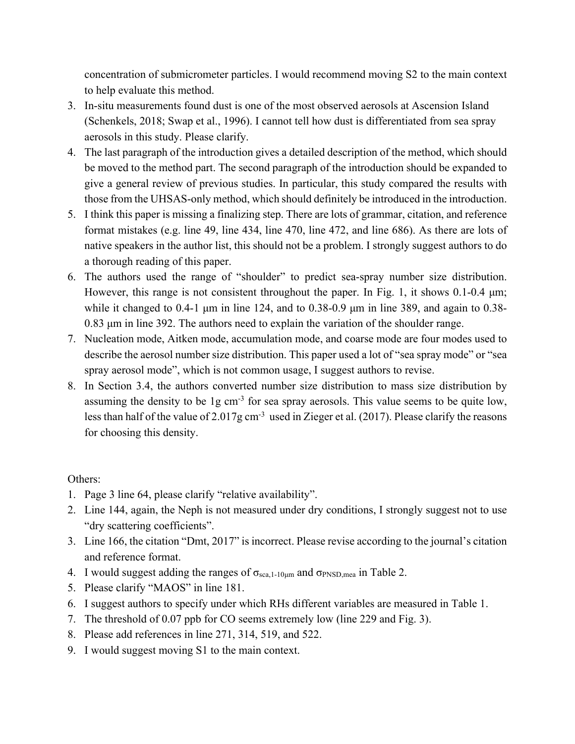concentration of submicrometer particles. I would recommend moving S2 to the main context to help evaluate this method.

- 3. In-situ measurements found dust is one of the most observed aerosols at Ascension Island (Schenkels, 2018; Swap et al., 1996). I cannot tell how dust is differentiated from sea spray aerosols in this study. Please clarify.
- 4. The last paragraph of the introduction gives a detailed description of the method, which should be moved to the method part. The second paragraph of the introduction should be expanded to give a general review of previous studies. In particular, this study compared the results with those from the UHSAS-only method, which should definitely be introduced in the introduction.
- 5. I think this paper is missing a finalizing step. There are lots of grammar, citation, and reference format mistakes (e.g. line 49, line 434, line 470, line 472, and line 686). As there are lots of native speakers in the author list, this should not be a problem. I strongly suggest authors to do a thorough reading of this paper.
- 6. The authors used the range of "shoulder" to predict sea-spray number size distribution. However, this range is not consistent throughout the paper. In Fig. 1, it shows 0.1-0.4 μm; while it changed to 0.4-1 μm in line 124, and to 0.38-0.9 μm in line 389, and again to 0.38- 0.83 μm in line 392. The authors need to explain the variation of the shoulder range.
- 7. Nucleation mode, Aitken mode, accumulation mode, and coarse mode are four modes used to describe the aerosol number size distribution. This paper used a lot of "sea spray mode" or "sea spray aerosol mode", which is not common usage, I suggest authors to revise.
- 8. In Section 3.4, the authors converted number size distribution to mass size distribution by assuming the density to be 1g cm<sup>-3</sup> for sea spray aerosols. This value seems to be quite low, less than half of the value of 2.017g cm<sup>-3</sup> used in Zieger et al. (2017). Please clarify the reasons for choosing this density.

## Others:

- 1. Page 3 line 64, please clarify "relative availability".
- 2. Line 144, again, the Neph is not measured under dry conditions, I strongly suggest not to use "dry scattering coefficients".
- 3. Line 166, the citation "Dmt, 2017" is incorrect. Please revise according to the journal's citation and reference format.
- 4. I would suggest adding the ranges of  $\sigma_{\text{sea},1-10\mu m}$  and  $\sigma_{\text{PNSD},\text{mea}}$  in Table 2.
- 5. Please clarify "MAOS" in line 181.
- 6. I suggest authors to specify under which RHs different variables are measured in Table 1.
- 7. The threshold of 0.07 ppb for CO seems extremely low (line 229 and Fig. 3).
- 8. Please add references in line 271, 314, 519, and 522.
- 9. I would suggest moving S1 to the main context.